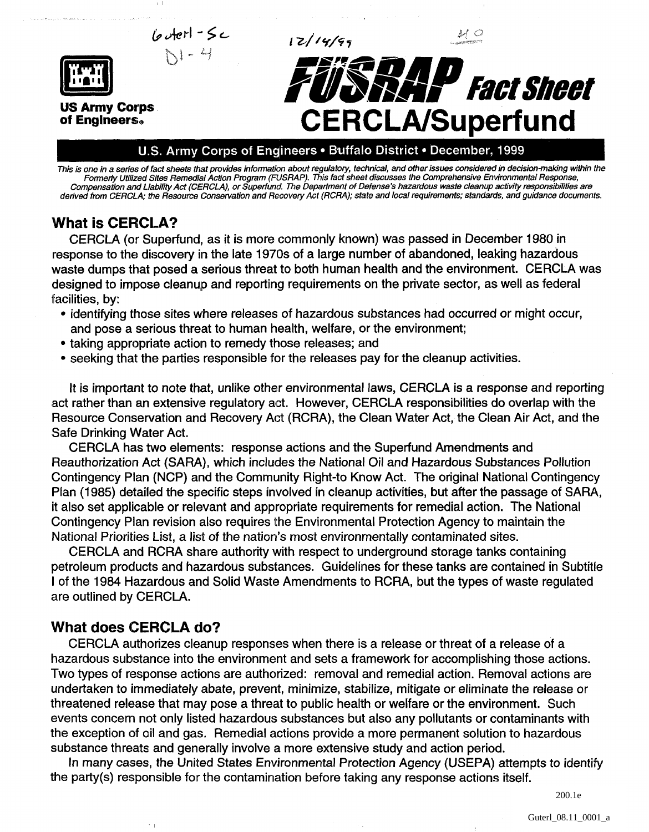

This is one in a series of fact sheets that provides information about regulatory, technical, and other issues considered in decision-making within the Formeriy Utilized Sites Remedial Action Program (FUSRAP). This fact sheet discusses the Comprehensive Environmental Response, Compensation and Liability Act (CERCLA), or Superfund. The Department of Defense's hazardous waste cleanup activity responsibilities are derived from CERCLA; the Resource Conservation and Recovery Act (RCRA); state and local requirements; standards, and guidance documents.

## **What is CERCLA?**

CERCLA (or Superfund, as it is more commonly known) was passed in December 1980 in response to the discovery in the late 1970s of a large number of abandoned, leaking hazardous waste dumps that posed a serious threat to both human health and the environment. CERCLA was designed to impose cleanup and reporting requirements on the private sector, as well as federal facilities, by:

- identifying those sites where releases of hazardous substances had occurred or might occur, and pose a serious threat to human health, welfare, or the environment;
- taking appropriate action to remedy those releases; and
- seeking that the parties responsible for the releases pay for the cleanup activities.

It is important to note that, unlike other environmental laws, CERCLA is a response and reporting act rather than an extensive regulatory act. However, CERCLA responsibilities do overlap with the Resource Conservation and Recovery Act (RCRA), the Clean Water Act, the Clean Air Act, and the Safe Drinking Water Act.

CERCLA has two elements: response actions and the Superfund Amendments and Reauthorization Act (SARA), which includes the National Oil and Hazardous Substances Pollution Contingency Plan (NCP) and the Community Right-to Know Act. The original National Contingency Plan (1985) detailed the specific steps involved in cleanup activities, but after the passage of SARA, it also set applicable or relevant and appropriate requirements for remedial action. The National Contingency Plan revision also requires the Environmental Protection Agency to maintain the National Priorities List, a list of the nation's most environmentally contaminated sites.

CERCLA and RCRA share authority with respect to underground storage tanks containing petroleum products and hazardous substances. Guidelines for these tanks are contained in Subtitle I of the 1984 Hazardous and Solid Waste Amendments to RCRA, but the types of waste regulated are outlined by CERCLA.

# **What does CERCLA do?**

 $\tau$  .

CERCLA authorizes cleanup responses when there is a release or threat of a release of a hazardous substance into the environment and sets a framework for accomplishing those actions. Two types of response actions are authorized: removal and remedial action. Removal actions are undertaken to immediately abate, prevent, minimize, stabilize, mitigate or eliminate the release or threatened release that may pose a threat to public health or welfare or the environment. Such events concern not only listed hazardous substances but also any pollutants or contaminants with the exception of oil and gas. Remedial actions provide a more permanent solution to hazardous substance threats and generally involve a more extensive study and action period.

In many cases, the United States Environmental Protection Agency (USEPA) attempts to identify the party(s) responsible for the contamination before taking any response actions itself.